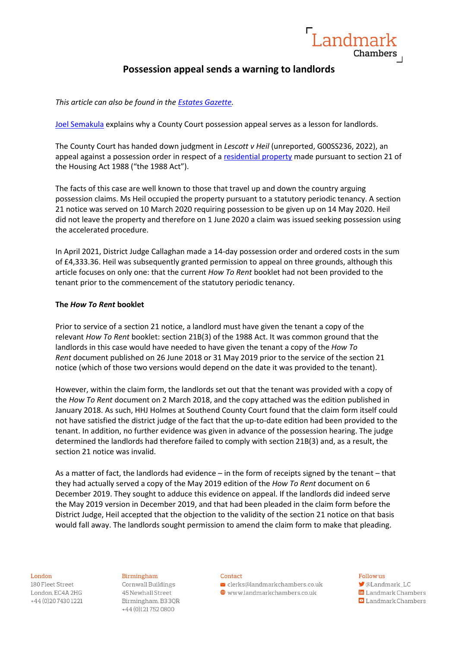# **Possession appeal sends a warning to landlords**

Landmar

Chambers

*This article can also be found in the [Estates Gazette.](https://www.egi.co.uk/legal/possession-appeal-sends-a-warning-to-landlords/)*

[Joel Semakula](https://www.landmarkchambers.co.uk/people/joel-semakula/) explains why a County Court possession appeal serves as a lesson for landlords.

The County Court has handed down judgment in *Lescott v Heil* (unreported, G00SS236, 2022), an appeal against a possession order in respect of a [residential property](https://www.landmarkchambers.co.uk/sectors/residential-property/) made pursuant to section 21 of the Housing Act 1988 ("the 1988 Act").

The facts of this case are well known to those that travel up and down the country arguing possession claims. Ms Heil occupied the property pursuant to a statutory periodic tenancy. A section 21 notice was served on 10 March 2020 requiring possession to be given up on 14 May 2020. Heil did not leave the property and therefore on 1 June 2020 a claim was issued seeking possession using the accelerated procedure.

In April 2021, District Judge Callaghan made a 14-day possession order and ordered costs in the sum of £4,333.36. Heil was subsequently granted permission to appeal on three grounds, although this article focuses on only one: that the current *How To Rent* booklet had not been provided to the tenant prior to the commencement of the statutory periodic tenancy.

# **The** *How To Rent* **booklet**

Prior to service of a section 21 notice, a landlord must have given the tenant a copy of the relevant *How To Rent* booklet: section 21B(3) of the 1988 Act. It was common ground that the landlords in this case would have needed to have given the tenant a copy of the *How To Rent* document published on 26 June 2018 or 31 May 2019 prior to the service of the section 21 notice (which of those two versions would depend on the date it was provided to the tenant).

However, within the claim form, the landlords set out that the tenant was provided with a copy of the *How To Rent* document on 2 March 2018, and the copy attached was the edition published in January 2018. As such, HHJ Holmes at Southend County Court found that the claim form itself could not have satisfied the district judge of the fact that the up-to-date edition had been provided to the tenant. In addition, no further evidence was given in advance of the possession hearing. The judge determined the landlords had therefore failed to comply with section 21B(3) and, as a result, the section 21 notice was invalid.

As a matter of fact, the landlords had evidence – in the form of receipts signed by the tenant – that they had actually served a copy of the May 2019 edition of the *How To Rent* document on 6 December 2019. They sought to adduce this evidence on appeal. If the landlords did indeed serve the May 2019 version in December 2019, and that had been pleaded in the claim form before the District Judge, Heil accepted that the objection to the validity of the section 21 notice on that basis would fall away. The landlords sought permission to amend the claim form to make that pleading.

#### London

180 Fleet Street London, EC4A 2HG +44 (0) 20 7430 1221

### Birmingham

Cornwall Buildings 45 Newhall Street Birmingham, B33QR +44 (0)121752 0800

#### Contact

 $\blacktriangleright$  clerks@landmarkchambers.co.uk  $\textcolor{blue}{\bigoplus}$  www.landmarkchambers.co.uk

# Follow us

- **M**@Landmark LC in Landmark Chambers
- **D** Landmark Chambers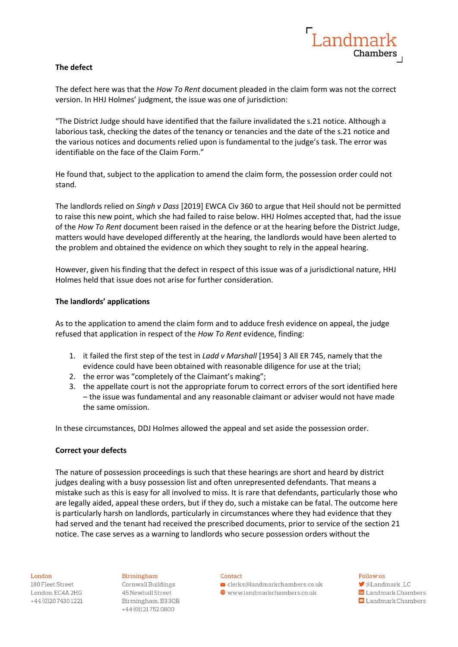# **The defect**

The defect here was that the *How To Rent* document pleaded in the claim form was not the correct version. In HHJ Holmes' judgment, the issue was one of jurisdiction:

"The District Judge should have identified that the failure invalidated the s.21 notice. Although a laborious task, checking the dates of the tenancy or tenancies and the date of the s.21 notice and the various notices and documents relied upon is fundamental to the judge's task. The error was identifiable on the face of the Claim Form."

He found that, subject to the application to amend the claim form, the possession order could not stand.

The landlords relied on *Singh v Dass* [2019] EWCA Civ 360 to argue that Heil should not be permitted to raise this new point, which she had failed to raise below. HHJ Holmes accepted that, had the issue of the *How To Rent* document been raised in the defence or at the hearing before the District Judge, matters would have developed differently at the hearing, the landlords would have been alerted to the problem and obtained the evidence on which they sought to rely in the appeal hearing.

However, given his finding that the defect in respect of this issue was of a jurisdictional nature, HHJ Holmes held that issue does not arise for further consideration.

# **The landlords' applications**

As to the application to amend the claim form and to adduce fresh evidence on appeal, the judge refused that application in respect of the *How To Rent* evidence, finding:

- 1. it failed the first step of the test in *Ladd v Marshall* [1954] 3 All ER 745, namely that the evidence could have been obtained with reasonable diligence for use at the trial;
- 2. the error was "completely of the Claimant's making";
- 3. the appellate court is not the appropriate forum to correct errors of the sort identified here – the issue was fundamental and any reasonable claimant or adviser would not have made the same omission.

In these circumstances, DDJ Holmes allowed the appeal and set aside the possession order.

# **Correct your defects**

The nature of possession proceedings is such that these hearings are short and heard by district judges dealing with a busy possession list and often unrepresented defendants. That means a mistake such as this is easy for all involved to miss. It is rare that defendants, particularly those who are legally aided, appeal these orders, but if they do, such a mistake can be fatal. The outcome here is particularly harsh on landlords, particularly in circumstances where they had evidence that they had served and the tenant had received the prescribed documents, prior to service of the section 21 notice. The case serves as a warning to landlords who secure possession orders without the

#### London

180 Fleet Street London, EC4A 2HG +44 (0) 20 7430 1221

Birmingham Cornwall Buildings 45 Newhall Street Birmingham, B33QR +44 (0)121752 0800

#### Contact

 $\blacktriangleright$  clerks@landmarkchambers.co.uk  $\textcolor{blue}{\bigoplus}$  www.landmarkchambers.co.uk

### Follow us

**M**@Landmark LC

in Landmark Chambers **D** Landmark Chambers